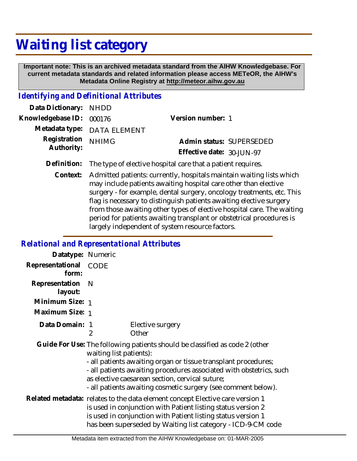## **Waiting list category**

 **Important note: This is an archived metadata standard from the AIHW Knowledgebase. For current metadata standards and related information please access METeOR, the AIHW's Metadata Online Registry at http://meteor.aihw.gov.au**

## *Identifying and Definitional Attributes*

| Data Dictionary: NHDD      |                             |                           |  |
|----------------------------|-----------------------------|---------------------------|--|
| Knowledgebase ID: 000176   |                             | Version number: 1         |  |
|                            | Metadata type: DATA ELEMENT |                           |  |
| Registration<br>Authority: | <b>NHIMG</b>                | Admin status: SUPERSEDED  |  |
|                            |                             | Effective date: 30-JUN-97 |  |
|                            |                             |                           |  |

- **Definition:** The type of elective hospital care that a patient requires.
	- Admitted patients: currently, hospitals maintain waiting lists which may include patients awaiting hospital care other than elective surgery - for example, dental surgery, oncology treatments, etc. This flag is necessary to distinguish patients awaiting elective surgery from those awaiting other types of elective hospital care. The waiting period for patients awaiting transplant or obstetrical procedures is largely independent of system resource factors. **Context:**

## *Relational and Representational Attributes*

| Datatype: Numeric              |                                                                                                                                                                                                                                                                                                                                                                     |                           |  |
|--------------------------------|---------------------------------------------------------------------------------------------------------------------------------------------------------------------------------------------------------------------------------------------------------------------------------------------------------------------------------------------------------------------|---------------------------|--|
| Representational CODE<br>form: |                                                                                                                                                                                                                                                                                                                                                                     |                           |  |
| Representation<br>layout:      | -N                                                                                                                                                                                                                                                                                                                                                                  |                           |  |
| Minimum Size: 1                |                                                                                                                                                                                                                                                                                                                                                                     |                           |  |
| Maximum Size: 1                |                                                                                                                                                                                                                                                                                                                                                                     |                           |  |
| Data Domain: 1                 | 2                                                                                                                                                                                                                                                                                                                                                                   | Elective surgery<br>Other |  |
|                                | Guide For Use: The following patients should be classified as code 2 (other<br>waiting list patients):<br>- all patients awaiting organ or tissue transplant procedures;<br>- all patients awaiting procedures associated with obstetrics, such<br>as elective caesarean section, cervical suture;<br>- all patients awaiting cosmetic surgery (see comment below). |                           |  |
|                                | Related metadata: relates to the data element concept Elective care version 1<br>is used in conjunction with Patient listing status version 2<br>is used in conjunction with Patient listing status version 1<br>has been superseded by Waiting list category - ICD-9-CM code                                                                                       |                           |  |